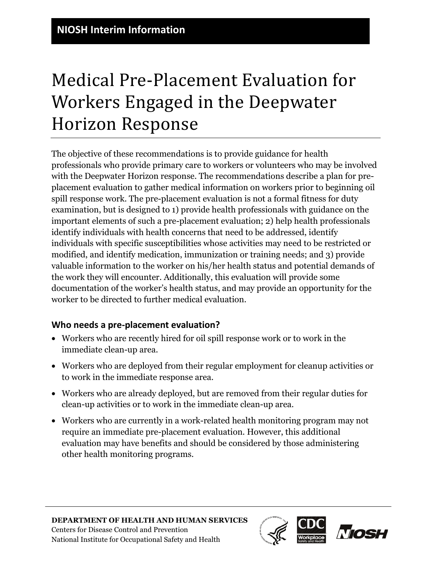The objective of these recommendations is to provide guidance for health professionals who provide primary care to workers or volunteers who may be involved with the Deepwater Horizon response. The recommendations describe a plan for preplacement evaluation to gather medical information on workers prior to beginning oil spill response work. The pre-placement evaluation is not a formal fitness for duty examination, but is designed to 1) provide health professionals with guidance on the important elements of such a pre-placement evaluation; 2) help health professionals identify individuals with health concerns that need to be addressed, identify individuals with specific susceptibilities whose activities may need to be restricted or modified, and identify medication, immunization or training needs; and 3) provide valuable information to the worker on his/her health status and potential demands of the work they will encounter. Additionally, this evaluation will provide some documentation of the worker's health status, and may provide an opportunity for the worker to be directed to further medical evaluation.

# **Who needs a pre-placement evaluation?**

- Workers who are recently hired for oil spill response work or to work in the immediate clean-up area.
- Workers who are deployed from their regular employment for cleanup activities or to work in the immediate response area.
- Workers who are already deployed, but are removed from their regular duties for clean-up activities or to work in the immediate clean-up area.
- Workers who are currently in a work-related health monitoring program may not require an immediate pre-placement evaluation. However, this additional evaluation may have benefits and should be considered by those administering other health monitoring programs.

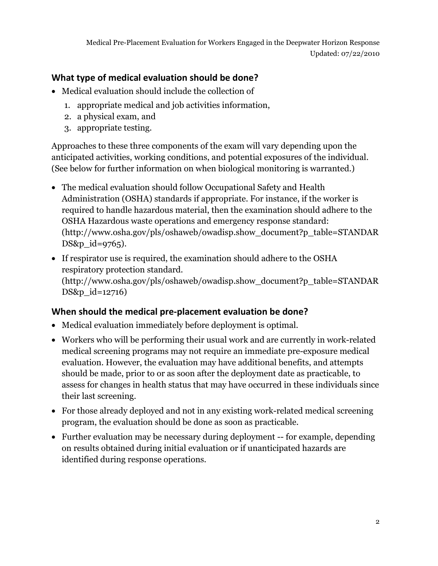#### **What type of medical evaluation should be done?**

- Medical evaluation should include the collection of
	- 1. appropriate medical and job activities information,
	- 2. a physical exam, and
	- 3. appropriate testing.

Approaches to these three components of the exam will vary depending upon the anticipated activities, working conditions, and potential exposures of the individual. (See below for further information on when biological monitoring is warranted.)

- The medical evaluation should follow Occupational Safety and Health Administration (OSHA) standards if appropriate. For instance, if the worker is required to handle hazardous material, then the examination should adhere to the OSHA Hazardous waste operations and emergency response standard: [\(http://www.osha.gov/pls/oshaweb/owadisp.show\\_document?p\\_table=STANDAR](http://www.osha.gov/pls/oshaweb/owadisp.show_document?p_table=STANDARDS&p_id=9765) [DS&p\\_id=9765\)](http://www.osha.gov/pls/oshaweb/owadisp.show_document?p_table=STANDARDS&p_id=9765).
- If respirator use is required, the examination should adhere to the OSHA respiratory protection standard. [\(http://www.osha.gov/pls/oshaweb/owadisp.show\\_document?p\\_table=STANDAR](http://www.osha.gov/pls/oshaweb/owadisp.show_document?p_table=STANDARDS&p_id=12716) DS&p id=12716)

#### **When should the medical pre-placement evaluation be done?**

- Medical evaluation immediately before deployment is optimal.
- Workers who will be performing their usual work and are currently in work-related medical screening programs may not require an immediate pre-exposure medical evaluation. However, the evaluation may have additional benefits, and attempts should be made, prior to or as soon after the deployment date as practicable, to assess for changes in health status that may have occurred in these individuals since their last screening.
- For those already deployed and not in any existing work-related medical screening program, the evaluation should be done as soon as practicable.
- Further evaluation may be necessary during deployment -- for example, depending on results obtained during initial evaluation or if unanticipated hazards are identified during response operations.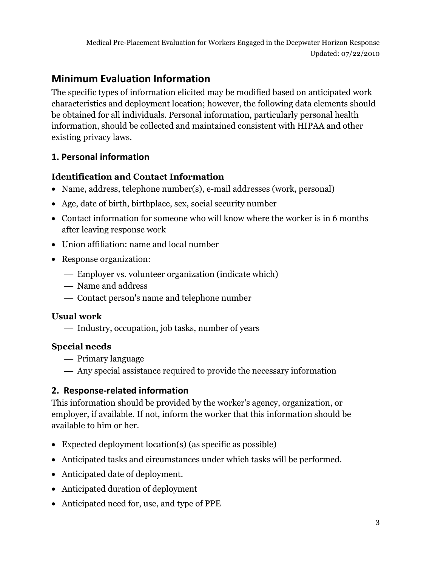# **Minimum Evaluation Information**

The specific types of information elicited may be modified based on anticipated work characteristics and deployment location; however, the following data elements should be obtained for all individuals. Personal information, particularly personal health information, should be collected and maintained consistent with HIPAA and other existing privacy laws.

#### **1. Personal information**

#### **Identification and Contact Information**

- Name, address, telephone number(s), e-mail addresses (work, personal)
- Age, date of birth, birthplace, sex, social security number
- Contact information for someone who will know where the worker is in 6 months after leaving response work
- Union affiliation: name and local number
- Response organization:
	- Employer vs. volunteer organization (indicate which)
	- Name and address
	- Contact person's name and telephone number

#### **Usual work**

Industry, occupation, job tasks, number of years

#### **Special needs**

- Primary language
- Any special assistance required to provide the necessary information

# **2. Response-related information**

This information should be provided by the worker's agency, organization, or employer, if available. If not, inform the worker that this information should be available to him or her.

- Expected deployment location(s) (as specific as possible)
- Anticipated tasks and circumstances under which tasks will be performed.
- Anticipated date of deployment.
- Anticipated duration of deployment
- Anticipated need for, use, and type of PPE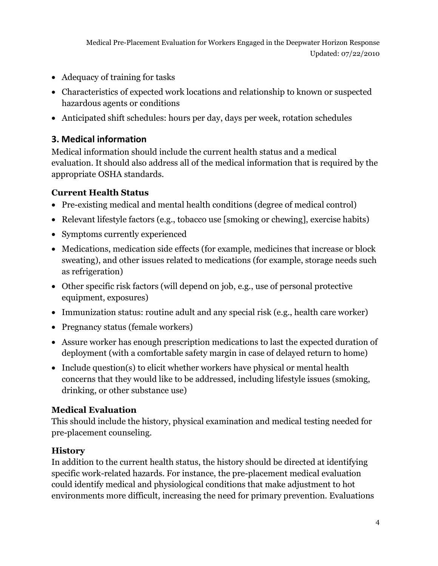- Adequacy of training for tasks
- Characteristics of expected work locations and relationship to known or suspected hazardous agents or conditions
- Anticipated shift schedules: hours per day, days per week, rotation schedules

#### **3. Medical information**

Medical information should include the current health status and a medical evaluation. It should also address all of the medical information that is required by the appropriate OSHA standards.

#### **Current Health Status**

- Pre-existing medical and mental health conditions (degree of medical control)
- Relevant lifestyle factors (e.g., tobacco use [smoking or chewing], exercise habits)
- Symptoms currently experienced
- Medications, medication side effects (for example, medicines that increase or block sweating), and other issues related to medications (for example, storage needs such as refrigeration)
- Other specific risk factors (will depend on job, e.g., use of personal protective equipment, exposures)
- Immunization status: routine adult and any special risk (e.g., health care worker)
- Pregnancy status (female workers)
- Assure worker has enough prescription medications to last the expected duration of deployment (with a comfortable safety margin in case of delayed return to home)
- Include question(s) to elicit whether workers have physical or mental health concerns that they would like to be addressed, including lifestyle issues (smoking, drinking, or other substance use)

#### **Medical Evaluation**

This should include the history, physical examination and medical testing needed for pre-placement counseling.

#### **History**

In addition to the current health status, the history should be directed at identifying specific work-related hazards. For instance, the pre-placement medical evaluation could identify medical and physiological conditions that make adjustment to hot environments more difficult, increasing the need for primary prevention. Evaluations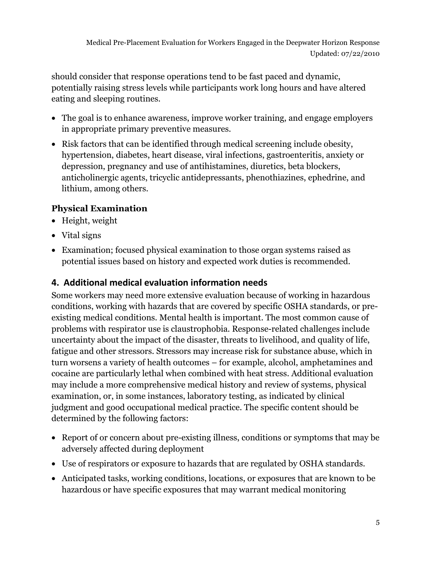should consider that response operations tend to be fast paced and dynamic, potentially raising stress levels while participants work long hours and have altered eating and sleeping routines.

- The goal is to enhance awareness, improve worker training, and engage employers in appropriate primary preventive measures.
- Risk factors that can be identified through medical screening include obesity, hypertension, diabetes, heart disease, viral infections, gastroenteritis, anxiety or depression, pregnancy and use of antihistamines, diuretics, beta blockers, anticholinergic agents, tricyclic antidepressants, phenothiazines, ephedrine, and lithium, among others.

# **Physical Examination**

- Height, weight
- Vital signs
- Examination; focused physical examination to those organ systems raised as potential issues based on history and expected work duties is recommended.

# **4. Additional medical evaluation information needs**

Some workers may need more extensive evaluation because of working in hazardous conditions, working with hazards that are covered by specific OSHA standards, or preexisting medical conditions. Mental health is important. The most common cause of problems with respirator use is claustrophobia. Response-related challenges include uncertainty about the impact of the disaster, threats to livelihood, and quality of life, fatigue and other stressors. Stressors may increase risk for substance abuse, which in turn worsens a variety of health outcomes – for example, alcohol, amphetamines and cocaine are particularly lethal when combined with heat stress. Additional evaluation may include a more comprehensive medical history and review of systems, physical examination, or, in some instances, laboratory testing, as indicated by clinical judgment and good occupational medical practice. The specific content should be determined by the following factors:

- Report of or concern about pre-existing illness, conditions or symptoms that may be adversely affected during deployment
- Use of respirators or exposure to hazards that are regulated by OSHA standards.
- Anticipated tasks, working conditions, locations, or exposures that are known to be hazardous or have specific exposures that may warrant medical monitoring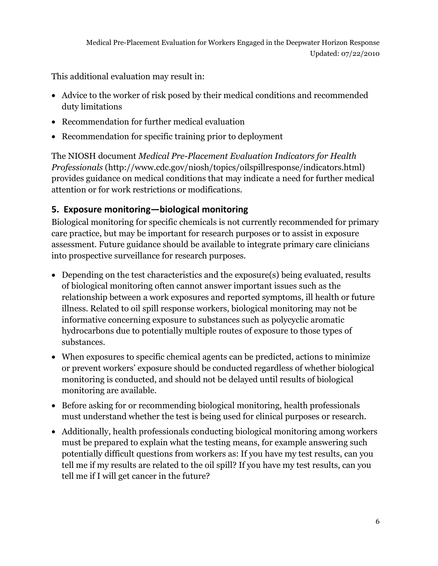This additional evaluation may result in:

- Advice to the worker of risk posed by their medical conditions and recommended duty limitations
- Recommendation for further medical evaluation
- Recommendation for specific training prior to deployment

The NIOSH document *Medical Pre-Placement Evaluation Indicators for Health Professionals* [\(http://www.cdc.gov/niosh/topics/oilspillresponse/indicators.html\)](http://www.cdc.gov/niosh/topics/oilspillresponse/indicators.html) provides guidance on medical conditions that may indicate a need for further medical attention or for work restrictions or modifications.

# **5. Exposure monitoring—biological monitoring**

Biological monitoring for specific chemicals is not currently recommended for primary care practice, but may be important for research purposes or to assist in exposure assessment. Future guidance should be available to integrate primary care clinicians into prospective surveillance for research purposes.

- Depending on the test characteristics and the exposure(s) being evaluated, results of biological monitoring often cannot answer important issues such as the relationship between a work exposures and reported symptoms, ill health or future illness. Related to oil spill response workers, biological monitoring may not be informative concerning exposure to substances such as polycyclic aromatic hydrocarbons due to potentially multiple routes of exposure to those types of substances.
- When exposures to specific chemical agents can be predicted, actions to minimize or prevent workers' exposure should be conducted regardless of whether biological monitoring is conducted, and should not be delayed until results of biological monitoring are available.
- Before asking for or recommending biological monitoring, health professionals must understand whether the test is being used for clinical purposes or research.
- Additionally, health professionals conducting biological monitoring among workers must be prepared to explain what the testing means, for example answering such potentially difficult questions from workers as: If you have my test results, can you tell me if my results are related to the oil spill? If you have my test results, can you tell me if I will get cancer in the future?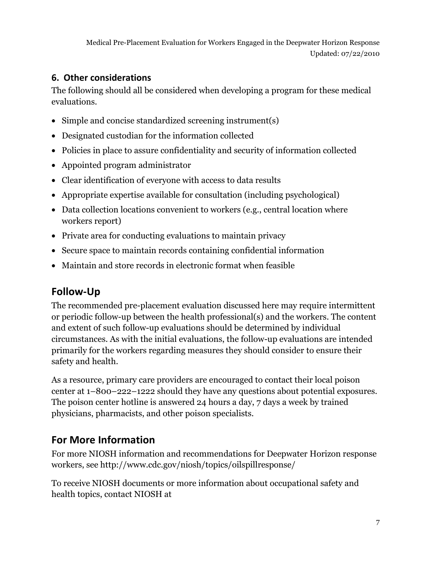# **6. Other considerations**

The following should all be considered when developing a program for these medical evaluations.

- Simple and concise standardized screening instrument(s)
- Designated custodian for the information collected
- Policies in place to assure confidentiality and security of information collected
- Appointed program administrator
- Clear identification of everyone with access to data results
- Appropriate expertise available for consultation (including psychological)
- Data collection locations convenient to workers (e.g., central location where workers report)
- Private area for conducting evaluations to maintain privacy
- Secure space to maintain records containing confidential information
- Maintain and store records in electronic format when feasible

# **Follow-Up**

The recommended pre-placement evaluation discussed here may require intermittent or periodic follow-up between the health professional(s) and the workers. The content and extent of such follow-up evaluations should be determined by individual circumstances. As with the initial evaluations, the follow-up evaluations are intended primarily for the workers regarding measures they should consider to ensure their safety and health.

As a resource, primary care providers are encouraged to contact their local poison center at 1–800–222–1222 should they have any questions about potential exposures. The poison center hotline is answered 24 hours a day, 7 days a week by trained physicians, pharmacists, and other poison specialists.

# **For More Information**

For more NIOSH information and recommendations for Deepwater Horizon response workers, see <http://www.cdc.gov/niosh/topics/oilspillresponse/>

To receive NIOSH documents or more information about occupational safety and health topics, contact NIOSH at